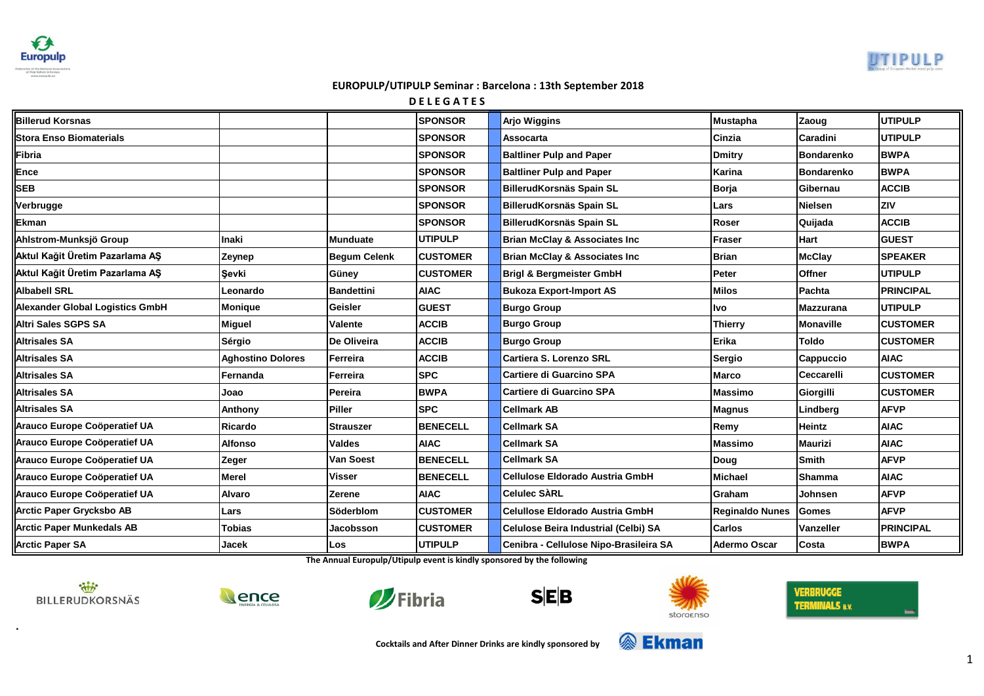**Europulp** 



# **EUROPULP/UTIPULP Seminar : Barcelona : 13th September 2018**

**D E L E G A T E S**

| <b>Billerud Korsnas</b>                |                          |                     | <b>SPONSOR</b>  | <b>Arjo Wiggins</b>                      | <b>Mustapha</b>        | Zaoug             | <b>UTIPULP</b>   |
|----------------------------------------|--------------------------|---------------------|-----------------|------------------------------------------|------------------------|-------------------|------------------|
| <b>Stora Enso Biomaterials</b>         |                          |                     | <b>SPONSOR</b>  | <b>Assocarta</b>                         | Cinzia                 | Caradini          | <b>UTIPULP</b>   |
| Fibria                                 |                          |                     | <b>SPONSOR</b>  | <b>Baltliner Pulp and Paper</b>          | <b>Dmitry</b>          | <b>Bondarenko</b> | <b>BWPA</b>      |
| Ence                                   |                          |                     | <b>SPONSOR</b>  | <b>Baltliner Pulp and Paper</b>          | Karina                 | <b>Bondarenko</b> | <b>BWPA</b>      |
| <b>SEB</b>                             |                          |                     | <b>SPONSOR</b>  | BillerudKorsnäs Spain SL                 | Borja                  | Gibernau          | <b>ACCIB</b>     |
| Verbrugge                              |                          |                     | <b>SPONSOR</b>  | BillerudKorsnäs Spain SL                 | Lars                   | <b>Nielsen</b>    | ZIV              |
| Ekman                                  |                          |                     | <b>SPONSOR</b>  | BillerudKorsnäs Spain SL                 | Roser                  | Quijada           | <b>ACCIB</b>     |
| Ahlstrom-Munksjö Group                 | <b>Inaki</b>             | <b>Munduate</b>     | <b>UTIPULP</b>  | <b>Brian McClay &amp; Associates Inc</b> | <b>Fraser</b>          | <b>Hart</b>       | <b>GUEST</b>     |
| Aktul Kağit Üretim Pazarlama AŞ        | Zeynep                   | <b>Begum Celenk</b> | <b>CUSTOMER</b> | <b>Brian McClay &amp; Associates Inc</b> | <b>Brian</b>           | <b>McClay</b>     | <b>SPEAKER</b>   |
| Aktul Kağit Üretim Pazarlama AŞ        | Sevki                    | Güney               | <b>CUSTOMER</b> | <b>Brigl &amp; Bergmeister GmbH</b>      | Peter                  | <b>Offner</b>     | <b>UTIPULP</b>   |
| <b>Albabell SRL</b>                    | Leonardo                 | <b>Bandettini</b>   | <b>AIAC</b>     | <b>Bukoza Export-Import AS</b>           | <b>Milos</b>           | Pachta            | <b>PRINCIPAL</b> |
| <b>Alexander Global Logistics GmbH</b> | Monique                  | <b>Geisler</b>      | <b>GUEST</b>    | <b>Burgo Group</b>                       | Ivo                    | <b>Mazzurana</b>  | <b>UTIPULP</b>   |
| <b>Altri Sales SGPS SA</b>             | Miguel                   | Valente             | <b>ACCIB</b>    | <b>Burgo Group</b>                       | <b>Thierry</b>         | Monaville         | <b>CUSTOMER</b>  |
| <b>Altrisales SA</b>                   | Sérgio                   | De Oliveira         | <b>ACCIB</b>    | <b>Burgo Group</b>                       | Erika                  | <b>Toldo</b>      | <b>CUSTOMER</b>  |
| <b>Altrisales SA</b>                   | <b>Aghostino Dolores</b> | Ferreira            | <b>ACCIB</b>    | <b>Cartiera S. Lorenzo SRL</b>           | Sergio                 | Cappuccio         | <b>AIAC</b>      |
| <b>Altrisales SA</b>                   | Fernanda                 | Ferreira            | <b>SPC</b>      | <b>Cartiere di Guarcino SPA</b>          | <b>Marco</b>           | <b>Ceccarelli</b> | <b>CUSTOMER</b>  |
| <b>Altrisales SA</b>                   | Joao                     | Pereira             | <b>BWPA</b>     | <b>Cartiere di Guarcino SPA</b>          | <b>Massimo</b>         | Giorgilli         | <b>CUSTOMER</b>  |
| <b>Altrisales SA</b>                   | Anthony                  | <b>Piller</b>       | <b>SPC</b>      | <b>Cellmark AB</b>                       | <b>Magnus</b>          | Lindberg          | <b>AFVP</b>      |
| Arauco Europe Coöperatief UA           | Ricardo                  | <b>Strauszer</b>    | <b>BENECELL</b> | <b>Cellmark SA</b>                       | Remy                   | <b>Heintz</b>     | <b>AIAC</b>      |
| Arauco Europe Coöperatief UA           | <b>Alfonso</b>           | <b>Valdes</b>       | <b>AIAC</b>     | <b>Cellmark SA</b>                       | <b>Massimo</b>         | <b>Maurizi</b>    | <b>AIAC</b>      |
| Arauco Europe Coöperatief UA           | Zeger                    | Van Soest           | <b>BENECELL</b> | <b>Cellmark SA</b>                       | Doug                   | <b>Smith</b>      | <b>AFVP</b>      |
| Arauco Europe Coöperatief UA           | <b>Merel</b>             | <b>Visser</b>       | <b>BENECELL</b> | <b>Cellulose Eldorado Austria GmbH</b>   | <b>Michael</b>         | <b>Shamma</b>     | <b>AIAC</b>      |
| Arauco Europe Coöperatief UA           | <b>Alvaro</b>            | <b>Zerene</b>       | <b>AIAC</b>     | <b>Celulec SARL</b>                      | Graham                 | Johnsen           | <b>AFVP</b>      |
| <b>Arctic Paper Grycksbo AB</b>        | Lars                     | <b>Söderblom</b>    | <b>CUSTOMER</b> | Celullose Eldorado Austria GmbH          | <b>Reginaldo Nunes</b> | <b>Gomes</b>      | <b>AFVP</b>      |
| <b>Arctic Paper Munkedals AB</b>       | Tobias                   | Jacobsson           | <b>CUSTOMER</b> | Celulose Beira Industrial (Celbi) SA     | <b>Carlos</b>          | Vanzeller         | <b>PRINCIPAL</b> |
| <b>Arctic Paper SA</b>                 | Jacek                    | Los                 | <b>UTIPULP</b>  | Cenibra - Cellulose Nipo-Brasileira SA   | <b>Adermo Oscar</b>    | Costa             | <b>BWPA</b>      |

**The Annual Europulp/Utipulp event is kindly sponsored by the following**



**.**









**VERBRUGGE TERMINALS B.V.** 

**Cocktails and After Dinner Drinks are kindly sponsored by**

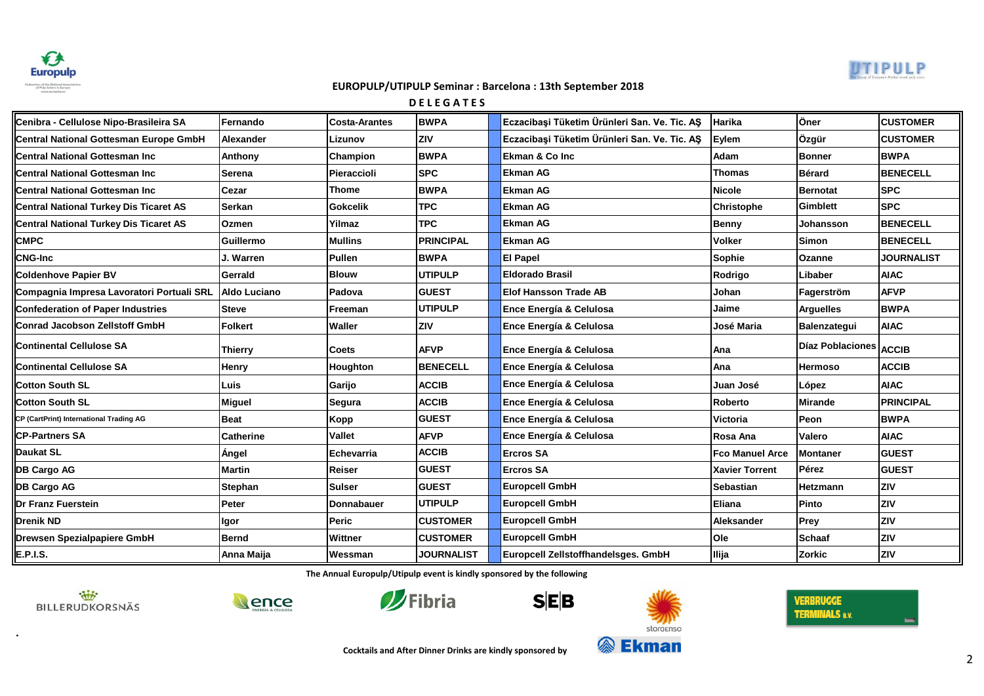



**D E L E G A T E S**

| Cenibra - Cellulose Nipo-Brasileira SA        | Fernando         | <b>Costa-Arantes</b> | <b>BWPA</b>       | Eczacibaşi Tüketim Ürünleri San. Ve. Tic. AŞ | Harika                 | Öner                   | ICUSTOMER         |
|-----------------------------------------------|------------------|----------------------|-------------------|----------------------------------------------|------------------------|------------------------|-------------------|
| <b>Central National Gottesman Europe GmbH</b> | Alexander        | Lizunov              | <b>ZIV</b>        | Eczacibasi Tüketim Ürünleri San. Ve. Tic. AS | Eylem                  | Özgür                  | ICUSTOMER         |
| Central National Gottesman Inc                | Anthony          | Champion             | <b>BWPA</b>       | <b>Ekman &amp; Co Inc</b>                    | Adam                   | <b>Bonner</b>          | <b>BWPA</b>       |
| <b>Central National Gottesman Inc</b>         | <b>Serena</b>    | Pieraccioli          | <b>SPC</b>        | <b>Ekman AG</b>                              | <b>Thomas</b>          | <b>Bérard</b>          | <b>BENECELL</b>   |
| <b>Central National Gottesman Inc</b>         | <b>Cezar</b>     | <b>Thome</b>         | <b>BWPA</b>       | <b>Ekman AG</b>                              | <b>Nicole</b>          | <b>Bernotat</b>        | ISPC              |
| <b>Central National Turkey Dis Ticaret AS</b> | <b>Serkan</b>    | <b>Gokcelik</b>      | <b>TPC</b>        | <b>Ekman AG</b>                              | <b>Christophe</b>      | <b>Gimblett</b>        | <b>SPC</b>        |
| <b>Central National Turkey Dis Ticaret AS</b> | <b>Ozmen</b>     | Yilmaz               | <b>TPC</b>        | <b>Ekman AG</b>                              | <b>Benny</b>           | Johansson              | <b>BENECELL</b>   |
| <b>CMPC</b>                                   | Guillermo        | <b>Mullins</b>       | <b>PRINCIPAL</b>  | <b>Ekman AG</b>                              | <b>Volker</b>          | Simon                  | <b>BENECELL</b>   |
| <b>CNG-Inc</b>                                | J. Warren        | Pullen               | <b>BWPA</b>       | <b>El Papel</b>                              | <b>Sophie</b>          | <b>Ozanne</b>          | <b>JOURNALIST</b> |
| <b>Coldenhove Papier BV</b>                   | Gerrald          | <b>Blouw</b>         | <b>UTIPULP</b>    | <b>Eldorado Brasil</b>                       | Rodrigo                | Libaber                | <b>AIAC</b>       |
| Compagnia Impresa Lavoratori Portuali SRL     | Aldo Luciano     | Padova               | <b>GUEST</b>      | <b>Elof Hansson Trade AB</b>                 | Johan                  | Fagerström             | <b>AFVP</b>       |
| <b>Confederation of Paper Industries</b>      | <b>Steve</b>     | Freeman              | <b>UTIPULP</b>    | Ence Energía & Celulosa                      | Jaime                  | <b>Arguelles</b>       | <b>BWPA</b>       |
| <b>Conrad Jacobson Zellstoff GmbH</b>         | <b>Folkert</b>   | Waller               | <b>ZIV</b>        | Ence Energía & Celulosa                      | José Maria             | Balenzatequi           | <b>AIAC</b>       |
| <b>Continental Cellulose SA</b>               | Thierry          | <b>Coets</b>         | <b>AFVP</b>       | <b>Ence Energía &amp; Celulosa</b>           | Ana                    | Díaz Poblaciones ACCIB |                   |
| <b>Continental Cellulose SA</b>               | Henry            | Houghton             | <b>BENECELL</b>   | Ence Energía & Celulosa                      | Ana                    | <b>Hermoso</b>         | <b>ACCIB</b>      |
| <b>Cotton South SL</b>                        | Luis             | Garijo               | <b>ACCIB</b>      | Ence Energía & Celulosa                      | Juan José              | López                  | <b>AIAC</b>       |
| <b>Cotton South SL</b>                        | <b>Miguel</b>    | Segura               | <b>ACCIB</b>      | <b>Ence Energía &amp; Celulosa</b>           | <b>Roberto</b>         | <b>Mirande</b>         | <b>PRINCIPAL</b>  |
| CP (CartPrint) International Trading AG       | <b>Beat</b>      | Kopp                 | <b>GUEST</b>      | Ence Energía & Celulosa                      | Victoria               | Peon                   | <b>BWPA</b>       |
| <b>CP-Partners SA</b>                         | <b>Catherine</b> | <b>Vallet</b>        | <b>AFVP</b>       | Ence Energía & Celulosa                      | Rosa Ana               | Valero                 | <b>AIAC</b>       |
| <b>Daukat SL</b>                              | Ángel            | Echevarria           | <b>ACCIB</b>      | <b>Ercros SA</b>                             | <b>Fco Manuel Arce</b> | <b>Montaner</b>        | <b>IGUEST</b>     |
| <b>DB Cargo AG</b>                            | <b>Martin</b>    | <b>Reiser</b>        | <b>GUEST</b>      | <b>Ercros SA</b>                             | <b>Xavier Torrent</b>  | Pérez                  | <b>IGUEST</b>     |
| <b>DB Cargo AG</b>                            | Stephan          | <b>Sulser</b>        | <b>GUEST</b>      | <b>Europcell GmbH</b>                        | <b>Sebastian</b>       | <b>Hetzmann</b>        | <b>ZIV</b>        |
| <b>Dr Franz Fuerstein</b>                     | Peter            | Donnabauer           | <b>UTIPULP</b>    | <b>Europcell GmbH</b>                        | Eliana                 | Pinto                  | <b>ZIV</b>        |
| <b>Drenik ND</b>                              | llgor            | Peric                | <b>CUSTOMER</b>   | <b>Europcell GmbH</b>                        | Aleksander             | <b>Prey</b>            | Iziv              |
| <b>Drewsen Spezialpapiere GmbH</b>            | <b>Bernd</b>     | Wittner              | <b>CUSTOMER</b>   | <b>Europcell GmbH</b>                        | <b>Ole</b>             | <b>Schaaf</b>          | <b>ZIV</b>        |
| <b>E.P.I.S.</b>                               | Anna Maija       | Wessman              | <b>JOURNALIST</b> | Europcell Zellstoffhandelsges. GmbH          | <b>Illija</b>          | <b>Zorkic</b>          | <b>ZIV</b>        |

**The Annual Europulp/Utipulp event is kindly sponsored by the following**



**.**





 $S|E|B$ 



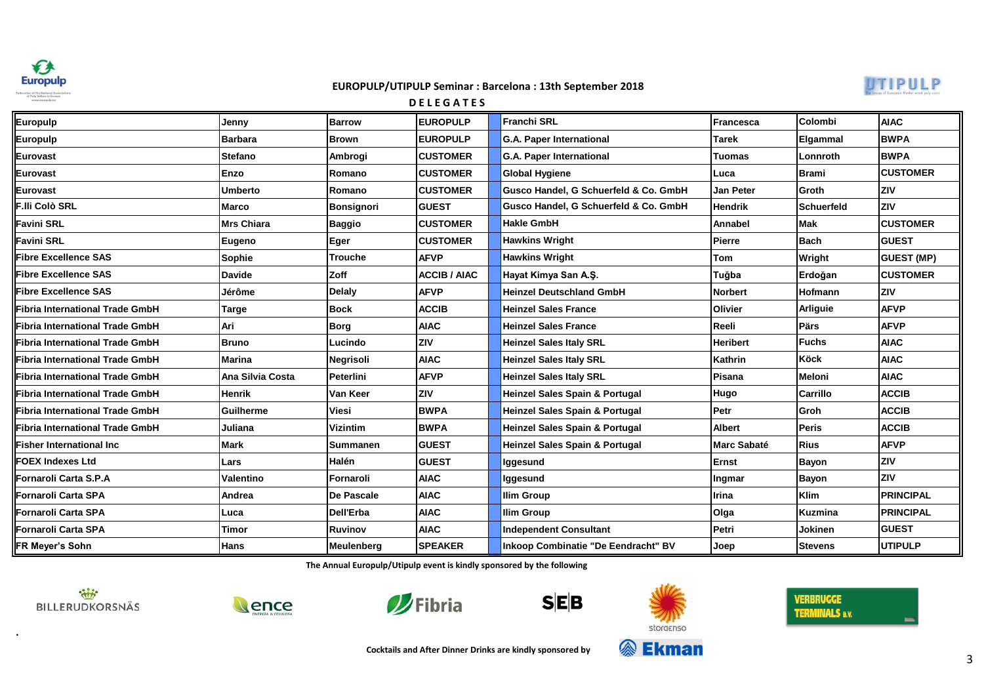



# **Europulp Jenny Barrow EUROPULP Franchi SRL Francesca Colombi AIAC Europulp Barbara Brown EUROPULP G.A. Paper International Tarek [Elgammal](http://www.sca.com/) [BWPA](http://www.sca.com/) Eurovast Stefano Ambrogi CUSTOMER G.A. Paper International Tuomas Lonnroth BWPA Eurovast Enzo Romano CUSTOMER Global Hygiene Luca Brami CUSTOMER Eurovast Umberto Romano CUSTOMER Gusco Handel, G Schuerfeld & Co. GmbH Jan Peter Groth ZIV F.lli Colò SRL Marco Bonsignori GUEST Gusco Handel, G Schuerfeld & Co. GmbH Hendrik Schuerfeld ZIV Favini SRL Mrs Chiara Baggio CUSTOMER Hakle GmbH Annabel Mak CUSTOMER Favini SRL Eugeno Eger CUSTOMER Hawkins Wright Pierre Bach GUEST Fibre Excellence SAS Sophie Trouche AFVP Hawkins Wright Tom Wright GUEST (MP) Fibre Excellence SAS Davide Zoff ACCIB / AIAC Hayat Kimya San A.Ş. Tuğba Erdoğan CUSTOMER Fibre Excellence SAS Jérôme Delaly AFVP Heinzel Deutschland GmbH Norbert Hofmann ZIV Fibria International Trade GmbH Targe Bock ACCIB Heinzel Sales France Olivier Arliguie AFVP Fibria International Trade GmbH Ari Borg AIAC Heinzel Sales France Reeli Pärs AFVP Fibria International Trade GmbH Bruno Lucindo ZIV Heinzel Sales Italy SRL Heribert Fuchs AIAC Fibria International Trade GmbH Marina Negrisoli AIAC Heinzel Sales Italy SRL Kathrin Köck AIAC Fibria International Trade GmbH Ana Silvia Costa Peterlini AFVP Heinzel Sales Italy SRL Pisana Meloni AIAC Fibria International Trade GmbH Henrik Van Keer ZIV Heinzel Sales Spain & Portugal Hugo Carrillo ACCIB Fibria International Trade GmbH Guilherme Viesi BWPA Heinzel Sales Spain & Portugal Petr Groh ACCIB Fibria International Trade GmbH Juliana Vizintim BWPA Heinzel Sales Spain & Portugal Albert Peris ACCIB Fisher International Inc Mark Summanen GUEST Heinzel Sales Spain & Portugal Marc Sabaté Rius AFVP FOEX Indexes Ltd Lars Halén GUEST Iggesund Ernst Bayon ZIV Fornaroli Carta S.P.A Valentino Fornaroli AIAC Iggesund Ingmar Bayon ZIV Fornaroli Carta SPA Andrea De Pascale AIAC Ilim Group Irina Klim PRINCIPAL Fornaroli Carta SPA Luca Dell'Erba AIAC Ilim Group Olga Kuzmina PRINCIPAL Fornaroli Carta SPA Timor Ruvinov AIAC Independent Consultant Petri Jokinen GUEST FR Meyer's Sohn Hans Meulenberg SPEAKER Inkoop Combinatie "De Eendracht" BV Joep Stevens UTIPULP D E L E G A T E S**

**The Annual Europulp/Utipulp event is kindly sponsored by the following**



**.**











**Cocktails and After Dinner Drinks are kindly sponsored by**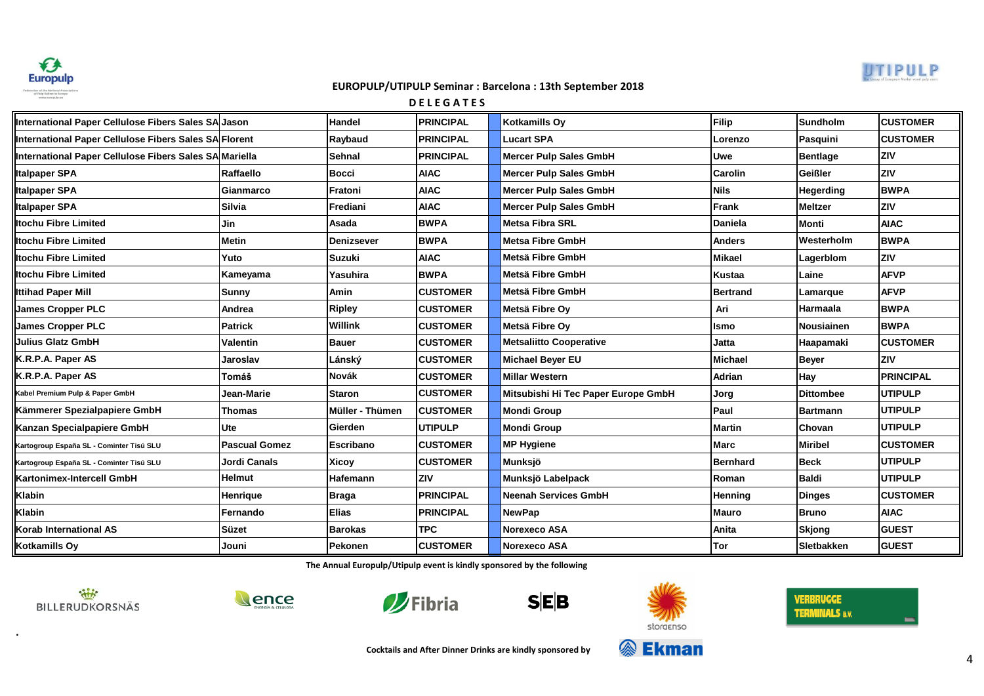



**D E L E G A T E S**

| International Paper Cellulose Fibers Sales SA Jason    |                      | Handel            | <b>PRINCIPAL</b> | Kotkamills Oy                       | Filip           | <b>Sundholm</b>   | <b>CUSTOMER</b>  |
|--------------------------------------------------------|----------------------|-------------------|------------------|-------------------------------------|-----------------|-------------------|------------------|
| International Paper Cellulose Fibers Sales SA Florent  |                      | Raybaud           | <b>PRINCIPAL</b> | <b>Lucart SPA</b>                   | Lorenzo         | Pasquini          | <b>CUSTOMER</b>  |
| International Paper Cellulose Fibers Sales SAMMariella |                      | <b>Sehnal</b>     | <b>PRINCIPAL</b> | <b>Mercer Pulp Sales GmbH</b>       | <b>Uwe</b>      | <b>Bentlage</b>   | ZIV              |
| <b>Italpaper SPA</b>                                   | Raffaello            | <b>Bocci</b>      | <b>AIAC</b>      | <b>Mercer Pulp Sales GmbH</b>       | <b>Carolin</b>  | <b>Geißler</b>    | Iziv             |
| <b>Italpaper SPA</b>                                   | Gianmarco            | Fratoni           | <b>AIAC</b>      | <b>Mercer Pulp Sales GmbH</b>       | <b>Nils</b>     | <b>Hegerding</b>  | <b>BWPA</b>      |
| Italpaper SPA                                          | <b>Silvia</b>        | Frediani          | <b>AIAC</b>      | <b>Mercer Pulp Sales GmbH</b>       | Frank           | <b>Meltzer</b>    | <b>ZIV</b>       |
| <b>Itochu Fibre Limited</b>                            | Jin                  | Asada             | <b>BWPA</b>      | <b>Metsa Fibra SRL</b>              | <b>Daniela</b>  | Monti             | <b>AIAC</b>      |
| <b>Itochu Fibre Limited</b>                            | <b>Metin</b>         | <b>Denizsever</b> | <b>BWPA</b>      | <b>Metsa Fibre GmbH</b>             | <b>Anders</b>   | Westerholm        | <b>BWPA</b>      |
| Itochu Fibre Limited                                   | Yuto                 | <b>Suzuki</b>     | <b>AIAC</b>      | Metsä Fibre GmbH                    | <b>Mikael</b>   | Lagerblom         | <b>ZIV</b>       |
| Itochu Fibre Limited                                   | Kameyama             | Yasuhira          | <b>BWPA</b>      | Metsä Fibre GmbH                    | <b>Kustaa</b>   | Laine             | <b>AFVP</b>      |
| Ittihad Paper Mill                                     | <b>Sunny</b>         | Amin              | <b>CUSTOMER</b>  | Metsä Fibre GmbH                    | <b>Bertrand</b> | Lamarque          | <b>AFVP</b>      |
| <b>James Cropper PLC</b>                               | Andrea               | <b>Ripley</b>     | <b>CUSTOMER</b>  | Metsä Fibre Ov                      | Ari             | Harmaala          | <b>BWPA</b>      |
| <b>James Cropper PLC</b>                               | <b>Patrick</b>       | Willink           | <b>CUSTOMER</b>  | Metsä Fibre Ov                      | <b>Ismo</b>     | Nousiainen        | <b>IBWPA</b>     |
| <b>Julius Glatz GmbH</b>                               | <b>Valentin</b>      | <b>Bauer</b>      | <b>CUSTOMER</b>  | <b>Metsaliitto Cooperative</b>      | Jatta           | Haapamaki         | <b>CUSTOMER</b>  |
| K.R.P.A. Paper AS                                      | Jaroslav             | Lánský            | <b>CUSTOMER</b>  | <b>Michael Beyer EU</b>             | Michael         | <b>Beyer</b>      | <b>ZIV</b>       |
| K.R.P.A. Paper AS                                      | Tomáš                | Novák             | <b>CUSTOMER</b>  | <b>Millar Western</b>               | Adrian          | Hay               | <b>PRINCIPAL</b> |
| Kabel Premium Pulp & Paper GmbH                        | Jean-Marie           | <b>Staron</b>     | <b>CUSTOMER</b>  | Mitsubishi Hi Tec Paper Europe GmbH | Jorg            | <b>Dittombee</b>  | <b>UTIPULP</b>   |
| Kämmerer Spezialpapiere GmbH                           | <b>Thomas</b>        | Müller - Thümen   | <b>CUSTOMER</b>  | <b>Mondi Group</b>                  | <b>IPaul</b>    | <b>Bartmann</b>   | <b>UTIPULP</b>   |
| Kanzan Specialpapiere GmbH                             | <b>Ute</b>           | Gierden           | <b>UTIPULP</b>   | <b>Mondi Group</b>                  | <b>Martin</b>   | <b>Chovan</b>     | <b>UTIPULP</b>   |
| Kartogroup España SL - Cominter Tisú SLU               | <b>Pascual Gomez</b> | <b>Escribano</b>  | <b>CUSTOMER</b>  | <b>MP Hygiene</b>                   | <b>IMarc</b>    | <b>Miribel</b>    | <b>CUSTOMER</b>  |
| Kartogroup España SL - Cominter Tisú SLU               | <b>Jordi Canals</b>  | <b>Xicoy</b>      | <b>CUSTOMER</b>  | Munksjö                             | <b>Bernhard</b> | <b>Beck</b>       | <b>UTIPULP</b>   |
| Kartonimex-Intercell GmbH                              | <b>Helmut</b>        | Hafemann          | ZIV              | Munksjö Labelpack                   | Roman           | <b>Baldi</b>      | IUTIPULP         |
| Klabin                                                 | <b>Henrique</b>      | <b>Braga</b>      | <b>PRINCIPAL</b> | <b>Neenah Services GmbH</b>         | Henning         | <b>Dinges</b>     | <b>CUSTOMER</b>  |
| Klabin                                                 | Fernando             | <b>Elias</b>      | <b>PRINCIPAL</b> | <b>NewPap</b>                       | Mauro           | <b>Bruno</b>      | <b>AIAC</b>      |
| Korab International AS                                 | <b>Süzet</b>         | <b>Barokas</b>    | <b>TPC</b>       | <b>Norexeco ASA</b>                 | Anita           | <b>Skjong</b>     | <b>GUEST</b>     |
| Kotkamills Oy                                          | Jouni                | Pekonen           | <b>CUSTOMER</b>  | <b>Norexeco ASA</b>                 | Tor             | <b>Sletbakken</b> | <b>GUEST</b>     |

**The Annual Europulp/Utipulp event is kindly sponsored by the following**



**.**









**&** Ekman



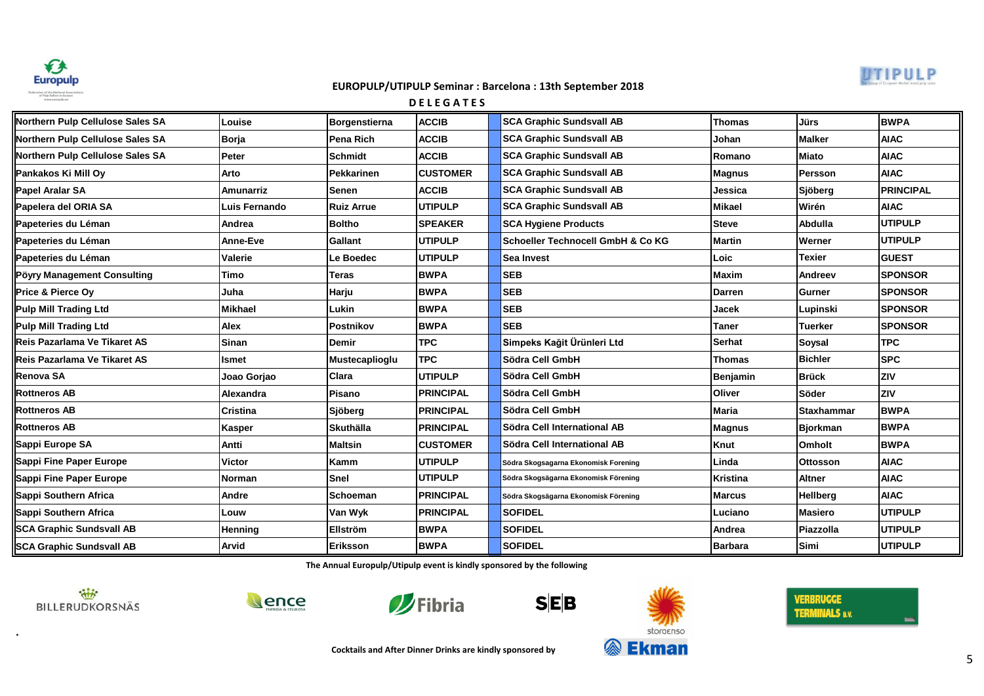



**D E L E G A T E S**

| Northern Pulp Cellulose Sales SA | Louise          | Borgenstierna     | <b>ACCIB</b>     | <b>SCA Graphic Sundsvall AB</b>              | <b>Thomas</b>  | <b>Jürs</b>       | <b>BWPA</b>      |
|----------------------------------|-----------------|-------------------|------------------|----------------------------------------------|----------------|-------------------|------------------|
| Northern Pulp Cellulose Sales SA | Borja           | Pena Rich         | <b>ACCIB</b>     | <b>SCA Graphic Sundsvall AB</b>              | Johan          | <b>Malker</b>     | <b>AIAC</b>      |
| Northern Pulp Cellulose Sales SA | Peter           | <b>Schmidt</b>    | <b>ACCIB</b>     | <b>SCA Graphic Sundsvall AB</b>              | Romano         | <b>Miato</b>      | <b>AIAC</b>      |
| Pankakos Ki Mill Oy              | Arto            | <b>Pekkarinen</b> | <b>CUSTOMER</b>  | <b>SCA Graphic Sundsvall AB</b>              | <b>Magnus</b>  | <b>Persson</b>    | <b>AIAC</b>      |
| <b>Papel Aralar SA</b>           | Amunarriz       | <b>Senen</b>      | <b>ACCIB</b>     | <b>SCA Graphic Sundsvall AB</b>              | Jessica        | Sjöberg           | <b>PRINCIPAL</b> |
| Papelera del ORIA SA             | Luis Fernando   | <b>Ruiz Arrue</b> | <b>UTIPULP</b>   | <b>SCA Graphic Sundsvall AB</b>              | <b>Mikael</b>  | Wirén             | <b>AIAC</b>      |
| Papeteries du Léman              | Andrea          | <b>Boltho</b>     | <b>SPEAKER</b>   | <b>SCA Hygiene Products</b>                  | <b>Steve</b>   | Abdulla           | <b>UTIPULP</b>   |
| Papeteries du Léman              | <b>Anne-Eve</b> | <b>Gallant</b>    | <b>UTIPULP</b>   | <b>Schoeller Technocell GmbH &amp; Co KG</b> | <b>Martin</b>  | Werner            | <b>UTIPULP</b>   |
| Papeteries du Léman              | <b>Valerie</b>  | Le Boedec         | <b>UTIPULP</b>   | <b>Sea Invest</b>                            | Loic           | <b>Texier</b>     | <b>GUEST</b>     |
| Pöyry Management Consulting      | Timo            | <b>Teras</b>      | <b>BWPA</b>      | <b>SEB</b>                                   | <b>Maxim</b>   | Andreev           | <b>SPONSOR</b>   |
| <b>Price &amp; Pierce Ov</b>     | Juha            | Harju             | <b>BWPA</b>      | <b>SEB</b>                                   | <b>Darren</b>  | Gurner            | <b>SPONSOR</b>   |
| <b>Pulp Mill Trading Ltd</b>     | Mikhael         | Lukin             | <b>BWPA</b>      | <b>SEB</b>                                   | Jacek          | Lupinski          | <b>SPONSOR</b>   |
| <b>Pulp Mill Trading Ltd</b>     | Alex            | Postnikov         | <b>BWPA</b>      | <b>SEB</b>                                   | <b>Taner</b>   | <b>Tuerker</b>    | <b>SPONSOR</b>   |
| Reis Pazarlama Ve Tikaret AS     | Sinan           | <b>Demir</b>      | <b>TPC</b>       | Simpeks Kağit Ürünleri Ltd                   | Serhat         | <b>Soysal</b>     | <b>TPC</b>       |
| Reis Pazarlama Ve Tikaret AS     | Ismet           | Mustecaplioglu    | <b>TPC</b>       | Södra Cell GmbH                              | <b>Thomas</b>  | <b>Bichler</b>    | <b>SPC</b>       |
| <b>Renova SA</b>                 | Joao Gorjao     | <b>Clara</b>      | UTIPULP          | Södra Cell GmbH                              | Benjamin       | <b>Brück</b>      | ZIV              |
| <b>Rottneros AB</b>              | Alexandra       | Pisano            | <b>PRINCIPAL</b> | Södra Cell GmbH                              | Oliver         | Söder             | <b>ZIV</b>       |
| <b>Rottneros AB</b>              | Cristina        | Sjöberg           | <b>PRINCIPAL</b> | Södra Cell GmbH                              | <b>Maria</b>   | <b>Staxhammar</b> | <b>BWPA</b>      |
| <b>Rottneros AB</b>              | Kasper          | <b>Skuthälla</b>  | <b>PRINCIPAL</b> | Södra Cell International AB                  | <b>Magnus</b>  | <b>Bjorkman</b>   | <b>BWPA</b>      |
| Sappi Europe SA                  | Antti           | <b>Maltsin</b>    | <b>CUSTOMER</b>  | Södra Cell International AB                  | Knut           | <b>Omholt</b>     | <b>BWPA</b>      |
| Sappi Fine Paper Europe          | Victor          | Kamm              | <b>UTIPULP</b>   | Södra Skogsagarna Ekonomisk Forening         | Linda          | <b>Ottosson</b>   | <b>AIAC</b>      |
| Sappi Fine Paper Europe          | Norman          | Snel              | <b>UTIPULP</b>   | Södra Skogsägarna Ekonomisk Förening         | Kristina       | <b>Altner</b>     | <b>AIAC</b>      |
| Sappi Southern Africa            | Andre           | Schoeman          | <b>PRINCIPAL</b> | Södra Skogsägarna Ekonomisk Förening         | <b>Marcus</b>  | Hellberg          | <b>AIAC</b>      |
| Sappi Southern Africa            | Louw            | Van Wyk           | <b>PRINCIPAL</b> | <b>SOFIDEL</b>                               | Luciano        | <b>Masiero</b>    | <b>UTIPULP</b>   |
| <b>SCA Graphic Sundsvall AB</b>  | Henning         | <b>Ellström</b>   | <b>BWPA</b>      | <b>SOFIDEL</b>                               | Andrea         | Piazzolla         | <b>UTIPULP</b>   |
| <b>SCA Graphic Sundsvall AB</b>  | Arvid           | <b>Eriksson</b>   | <b>BWPA</b>      | <b>SOFIDEL</b>                               | <b>Barbara</b> | Simi              | <b>UTIPULP</b>   |

**The Annual Europulp/Utipulp event is kindly sponsored by the following**



**.**